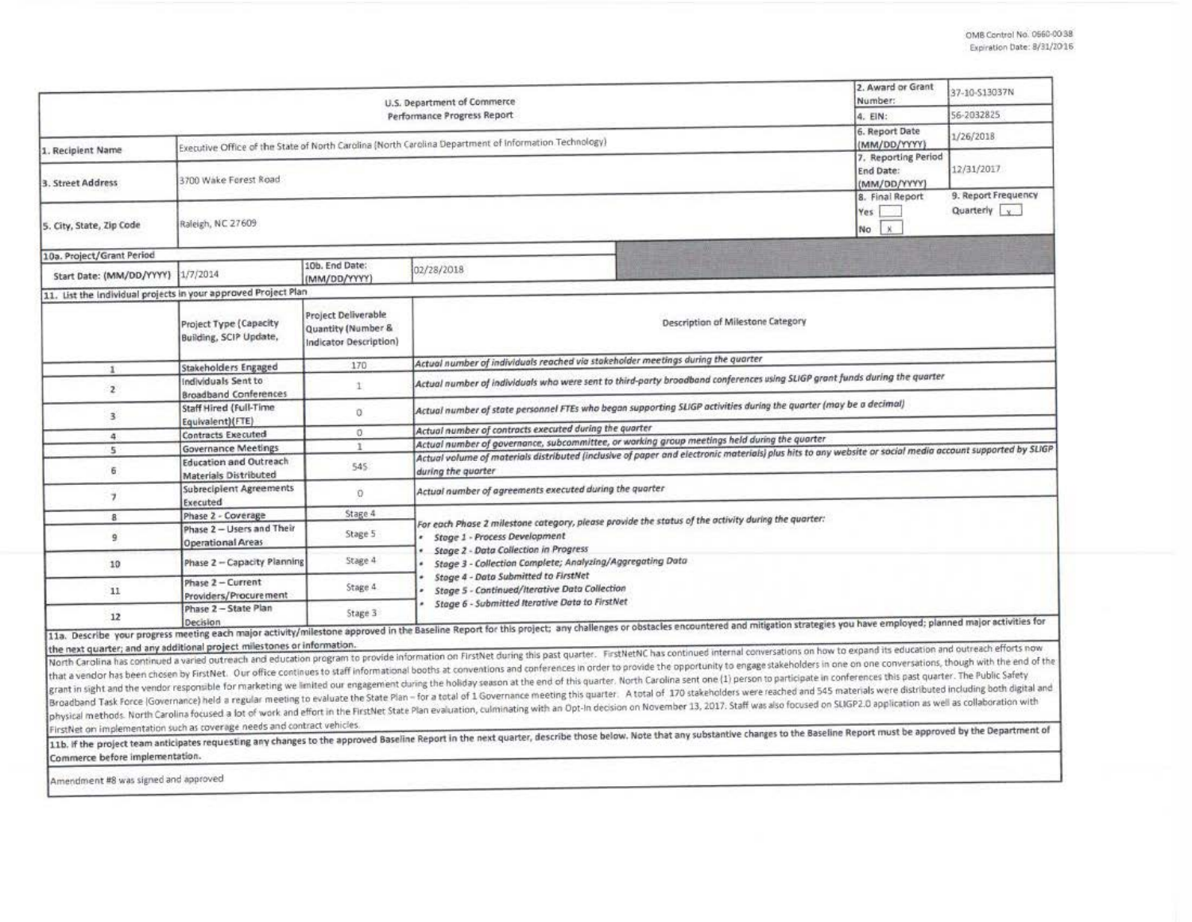|                                                                | 2. Award or Grant<br>Number:                                                                                                                       | 37-10-S13037N                                                                                        |                                                                                                                                                                                                                                                                                                                                                                                                                                                                                                                                                                                                                                                                                                                                                                                                                                                                                                                                                                                                                                                                                                                                                                                                                                                                                                                                                                                                        |                                    |  |  |  |  |  |  |
|----------------------------------------------------------------|----------------------------------------------------------------------------------------------------------------------------------------------------|------------------------------------------------------------------------------------------------------|--------------------------------------------------------------------------------------------------------------------------------------------------------------------------------------------------------------------------------------------------------------------------------------------------------------------------------------------------------------------------------------------------------------------------------------------------------------------------------------------------------------------------------------------------------------------------------------------------------------------------------------------------------------------------------------------------------------------------------------------------------------------------------------------------------------------------------------------------------------------------------------------------------------------------------------------------------------------------------------------------------------------------------------------------------------------------------------------------------------------------------------------------------------------------------------------------------------------------------------------------------------------------------------------------------------------------------------------------------------------------------------------------------|------------------------------------|--|--|--|--|--|--|
|                                                                | 4. EIN:                                                                                                                                            | 56-2032825                                                                                           |                                                                                                                                                                                                                                                                                                                                                                                                                                                                                                                                                                                                                                                                                                                                                                                                                                                                                                                                                                                                                                                                                                                                                                                                                                                                                                                                                                                                        |                                    |  |  |  |  |  |  |
| 1. Recipient Name                                              | 6. Report Date<br>(MM/DD/YYYY)                                                                                                                     | 1/26/2018                                                                                            |                                                                                                                                                                                                                                                                                                                                                                                                                                                                                                                                                                                                                                                                                                                                                                                                                                                                                                                                                                                                                                                                                                                                                                                                                                                                                                                                                                                                        |                                    |  |  |  |  |  |  |
| 3. Street Address                                              | 3700 Wake Forest Road                                                                                                                              | Executive Office of the State of North Cardina (North Carolina Department of Information Technology) | 7. Reporting Period<br>End Date:<br>(MM/DD/YYYY)                                                                                                                                                                                                                                                                                                                                                                                                                                                                                                                                                                                                                                                                                                                                                                                                                                                                                                                                                                                                                                                                                                                                                                                                                                                                                                                                                       | 12/31/2017                         |  |  |  |  |  |  |
| 5. City, State, Zip Code                                       | Raleigh, NC 27609                                                                                                                                  |                                                                                                      | 8. Final Report<br>Yes<br>No.<br>$\mathbf{x}$                                                                                                                                                                                                                                                                                                                                                                                                                                                                                                                                                                                                                                                                                                                                                                                                                                                                                                                                                                                                                                                                                                                                                                                                                                                                                                                                                          | 9. Report Frequency<br>Quarterly v |  |  |  |  |  |  |
| 10a. Project/Grant Period                                      |                                                                                                                                                    |                                                                                                      |                                                                                                                                                                                                                                                                                                                                                                                                                                                                                                                                                                                                                                                                                                                                                                                                                                                                                                                                                                                                                                                                                                                                                                                                                                                                                                                                                                                                        |                                    |  |  |  |  |  |  |
| Start Date: (MM/DD/YYYY)                                       | 1/7/2014                                                                                                                                           | 10b. End Date:<br>(MM/DD/YYYY)                                                                       | 02/28/2018                                                                                                                                                                                                                                                                                                                                                                                                                                                                                                                                                                                                                                                                                                                                                                                                                                                                                                                                                                                                                                                                                                                                                                                                                                                                                                                                                                                             |                                    |  |  |  |  |  |  |
| 11. List the individual projects in your approved Project Plan |                                                                                                                                                    |                                                                                                      |                                                                                                                                                                                                                                                                                                                                                                                                                                                                                                                                                                                                                                                                                                                                                                                                                                                                                                                                                                                                                                                                                                                                                                                                                                                                                                                                                                                                        |                                    |  |  |  |  |  |  |
|                                                                | Project Type (Capacity<br>Building, SCIP Update,                                                                                                   | Project Deliverable<br>Quantity (Number &<br>Indicator Description)                                  | Description of Milestone Category                                                                                                                                                                                                                                                                                                                                                                                                                                                                                                                                                                                                                                                                                                                                                                                                                                                                                                                                                                                                                                                                                                                                                                                                                                                                                                                                                                      |                                    |  |  |  |  |  |  |
| $\mathbf{1}$                                                   | <b>Stakeholders Engaged</b>                                                                                                                        | 170                                                                                                  | Actual number of individuals reached via stakeholder meetings during the quarter                                                                                                                                                                                                                                                                                                                                                                                                                                                                                                                                                                                                                                                                                                                                                                                                                                                                                                                                                                                                                                                                                                                                                                                                                                                                                                                       |                                    |  |  |  |  |  |  |
| $\mathbf{z}$                                                   | Individuals Sent to<br><b>Broadband Conferences</b>                                                                                                | 1                                                                                                    | Actual number of individuals who were sent to third-party broadband conferences using SLIGP grant funds during the quarter                                                                                                                                                                                                                                                                                                                                                                                                                                                                                                                                                                                                                                                                                                                                                                                                                                                                                                                                                                                                                                                                                                                                                                                                                                                                             |                                    |  |  |  |  |  |  |
| $\overline{\mathbf{3}}$                                        | Staff Hired (Full-Time<br>Equivalent)(FTE)                                                                                                         | Ü.                                                                                                   | Actual number of state personnel FTEs who began supporting SLIGP activities during the quarter (may be a decimal)                                                                                                                                                                                                                                                                                                                                                                                                                                                                                                                                                                                                                                                                                                                                                                                                                                                                                                                                                                                                                                                                                                                                                                                                                                                                                      |                                    |  |  |  |  |  |  |
| 4                                                              | <b>Contracts Executed</b>                                                                                                                          | $\alpha$                                                                                             | Actual number of contracts executed during the quarter                                                                                                                                                                                                                                                                                                                                                                                                                                                                                                                                                                                                                                                                                                                                                                                                                                                                                                                                                                                                                                                                                                                                                                                                                                                                                                                                                 |                                    |  |  |  |  |  |  |
| 5                                                              | <b>Governance Meetings</b>                                                                                                                         | $\mathbf{I}$                                                                                         | Actual number of governance, subcommittee, or working group meetings held during the quarter<br>Actual volume of materials distributed (inclusive of paper and electronic materials) plus hits to any website or social media account supported by SLIGP                                                                                                                                                                                                                                                                                                                                                                                                                                                                                                                                                                                                                                                                                                                                                                                                                                                                                                                                                                                                                                                                                                                                               |                                    |  |  |  |  |  |  |
| 6                                                              | <b>Education and Outreach</b><br>Materials Distributed                                                                                             | 545                                                                                                  | during the quarter                                                                                                                                                                                                                                                                                                                                                                                                                                                                                                                                                                                                                                                                                                                                                                                                                                                                                                                                                                                                                                                                                                                                                                                                                                                                                                                                                                                     |                                    |  |  |  |  |  |  |
| $\overline{ }$                                                 | Subrecipient Agreements<br>Executed                                                                                                                | $\Omega$                                                                                             | Actual number of agreements executed during the quarter                                                                                                                                                                                                                                                                                                                                                                                                                                                                                                                                                                                                                                                                                                                                                                                                                                                                                                                                                                                                                                                                                                                                                                                                                                                                                                                                                |                                    |  |  |  |  |  |  |
| 8                                                              | Phase 2 - Coverage                                                                                                                                 | Stage 4                                                                                              | For each Phase 2 milestone category, please provide the status of the activity during the quarter:                                                                                                                                                                                                                                                                                                                                                                                                                                                                                                                                                                                                                                                                                                                                                                                                                                                                                                                                                                                                                                                                                                                                                                                                                                                                                                     |                                    |  |  |  |  |  |  |
| $\overline{9}$                                                 | Phase 2 - Users and Their<br><b>Operational Areas</b>                                                                                              | Stage 5                                                                                              | Stage 1 - Process Development                                                                                                                                                                                                                                                                                                                                                                                                                                                                                                                                                                                                                                                                                                                                                                                                                                                                                                                                                                                                                                                                                                                                                                                                                                                                                                                                                                          |                                    |  |  |  |  |  |  |
| 10                                                             | Phase 2 - Capacity Planning                                                                                                                        | Stage 4                                                                                              | Stage 2 - Data Collection in Progress<br>Stage 3 - Collection Complete; Analyzing/Aggregating Data<br><b>Stage 4 - Data Submitted to FirstNet</b><br>Stage 5 - Continued/Iterative Data Collection                                                                                                                                                                                                                                                                                                                                                                                                                                                                                                                                                                                                                                                                                                                                                                                                                                                                                                                                                                                                                                                                                                                                                                                                     |                                    |  |  |  |  |  |  |
| 11                                                             | Phase 2 - Current<br>Providers/Procurement                                                                                                         | Stage 4.                                                                                             |                                                                                                                                                                                                                                                                                                                                                                                                                                                                                                                                                                                                                                                                                                                                                                                                                                                                                                                                                                                                                                                                                                                                                                                                                                                                                                                                                                                                        |                                    |  |  |  |  |  |  |
| 12                                                             | Phase 2 - State Plan                                                                                                                               | Stage 3                                                                                              | Stage 6 - Submitted Iterative Data to FirstNet<br>11a. Describe your progress meeting each major activity/milestone approved in the Baseline Report for this project; any challenges or obstacles encountered and mitigation strategies you have employed; planned major activit                                                                                                                                                                                                                                                                                                                                                                                                                                                                                                                                                                                                                                                                                                                                                                                                                                                                                                                                                                                                                                                                                                                       |                                    |  |  |  |  |  |  |
|                                                                | the next quarter; and any additional project milestones or information.<br>FirstNet on implementation such as coverage needs and contract vehicles |                                                                                                      | North Carolina has continued a varied outreach and education program to provide information on FirstNet during this past quarter. FirstNetNC has continued internal conversations on how to expand its education and outreach<br>that a vendor has been chosen by FirstNet. Our office continues to staff informational booths at conventions and conferences in order to provide the opportunity to engage stakeholders in one on one conversations, though wi<br>grant in sight and the vendor responsible for marketing we limited our engagement cluring the holiday season at the end of this quarter. North Carolina sent one (1) person to participate in conferences this past quarter. T<br>Broadband Task Force (Governance) held a regular meeting to evaluate the State Plan - for a total of 1 Governance meeting this quarter. A total of 170 stakeholders were reached and 545 materials were distributed including<br>physical methods. North Carolina focused a lot of work and effort in the FirstNet State Plan evaluation, culminating with an Opt-In decision on November 13, 2017. Staff was also focused on SLIGP2.0 application as well as c<br>11b. If the project team anticipates requesting any changes to the approved Baseline Report in the next quarter, describe those below. Note that any substantive changes to the Baseline Report must be approved by the Depart |                                    |  |  |  |  |  |  |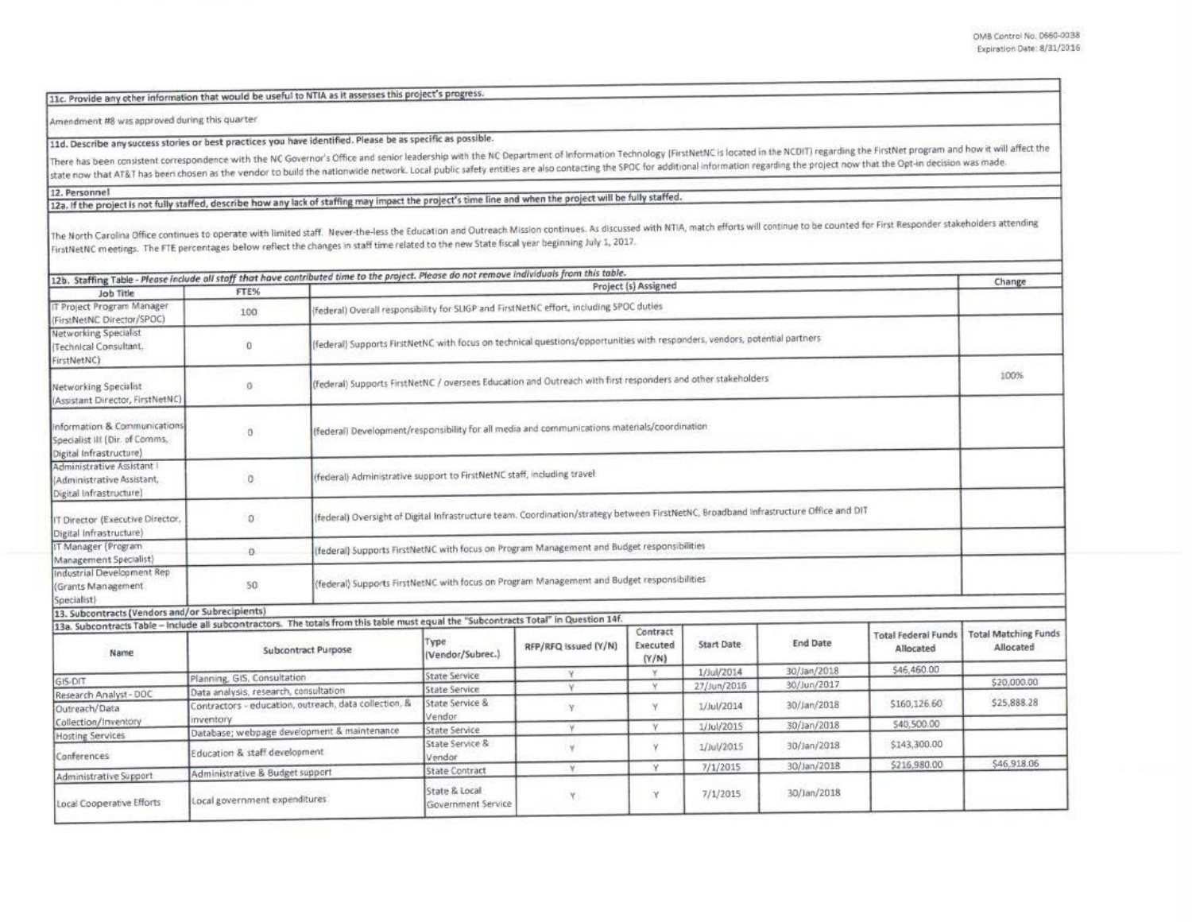11c. Provide any other information that would be useful to NTIA as it assesses this project's progress.

Amendment #8 was approved during this quarter

## 11d. Describe any success stories or best practices you have identified. Please be as specific as possible.

There has been consistent correspondence with the NC Governor's Office and senior leadership with the NC Department of Information Technology (FirstNetNC is located in the NCDIT) regarding the FirstNet program and how it w state now that AT&T has been chosen as the vendor to build the nationwide network. Local public safety entities are also contacting the SPOC for additional information regarding the project now that the Opt-in decision was

12. Personnel

## 12a. If the project is not fully staffed, describe how any lack of staffing may impact the project's time line and when the project will be fully staffed.

The North Carolina Office continues to operate with limited staff. Never-the-less the Education and Outreach Mission continues. As discussed with NTIA, match efforts will continue to be counted for First Responder stakehol FirstNetNC meetings. The FTE percentages below reflect the changes in staff time related to the new State fiscal year beginning July 1, 2017.

|                                                                                                                                       |                                                                   |                                                                                                                                                                     |                                                                        |                      |                   |                   |                 |                                         | Change                      |
|---------------------------------------------------------------------------------------------------------------------------------------|-------------------------------------------------------------------|---------------------------------------------------------------------------------------------------------------------------------------------------------------------|------------------------------------------------------------------------|----------------------|-------------------|-------------------|-----------------|-----------------------------------------|-----------------------------|
| Job Title                                                                                                                             | <b>FTE%</b>                                                       | 12b. Staffing Table - Please include all staff that have contributed time to the project. Please do not remove individuals from this table.<br>Project (s) Assigned |                                                                        |                      |                   |                   |                 |                                         |                             |
| IT Project Program Manager<br>(FirstNetNC Director/SPOC)                                                                              | 100                                                               | (federal) Overall responsibility for SLIGP and FirstNetNC effort, including SPOC duties                                                                             |                                                                        |                      |                   |                   |                 |                                         |                             |
| Networking Specialist<br>(Technical Consultant,<br>FirstNetNC)                                                                        | $\ddot{\mathbf{0}}$                                               | (federal) Supports FirstNetNC with focus on technical questions/opportunities with responders, vendors, potential partners                                          |                                                                        |                      |                   |                   |                 |                                         |                             |
| Networking Specialist<br>(Assistant Director, FirstNetNC)                                                                             | $\theta$                                                          | (federal) Supports FirstNetNC / oversees Education and Outreach with first responders and other stakeholders                                                        |                                                                        |                      |                   |                   |                 |                                         | 100%                        |
| Information & Communications<br>Specialist III (Dir. of Comms,<br>Digital Infrastructure)                                             | $\Omega$                                                          | (federal) Development/responsibility for all media and communications materials/coordination                                                                        |                                                                        |                      |                   |                   |                 |                                         |                             |
| Administrative Assistant I<br>(Administrative Assistant,<br>Digital Infrastructure)                                                   | $\theta$                                                          |                                                                                                                                                                     | (federal) Administrative support to FirstNetNC staff, including travel |                      |                   |                   |                 |                                         |                             |
| IT Director (Executive Director,<br>Digital Infrastructure)                                                                           | $\Omega$                                                          | (federal) Oversight of Digital Infrastructure team. Coordination/strategy between FirstNetNC, Broadband Infrastructure Office and DIT                               |                                                                        |                      |                   |                   |                 |                                         |                             |
| IT Manager (Program)<br>Management Specialist)                                                                                        | Đ.                                                                | (federal) Supports FirstNetNC with focus on Program Management and Budget responsibilities                                                                          |                                                                        |                      |                   |                   |                 |                                         |                             |
| Industrial Development Rep<br>(Grants Management)<br>Specialist)                                                                      | 50                                                                | (federal) Supports FirstNetNC with focus on Program Management and Budget responsibilities                                                                          |                                                                        |                      |                   |                   |                 |                                         |                             |
| 13. Subcontracts (Vendors and/or Subrecipients)                                                                                       |                                                                   |                                                                                                                                                                     |                                                                        |                      |                   |                   |                 |                                         |                             |
| 13a. Subcontracts Table - Include all subcontractors. The totals from this table must equal the "Subcontracts Total" in Question 14f. |                                                                   |                                                                                                                                                                     |                                                                        |                      | Contract          |                   |                 |                                         | <b>Total Matching Funds</b> |
| Name.                                                                                                                                 | Subcontract Purpose                                               |                                                                                                                                                                     | Type<br>(Vendor/Subrec.)                                               | RFP/RFQ issued (Y/N) | Executed<br>(Y/N) | <b>Start Date</b> | <b>End Date</b> | <b>Total Federal Funds</b><br>Allocated | Allocated                   |
|                                                                                                                                       | Planning, GIS, Consultation                                       |                                                                                                                                                                     | <b>State Service</b>                                                   | ¥.                   | ×                 | 1/Jul/2014        | 30/Jan/2018     | \$46,460.00                             |                             |
| GIS-DIT<br>Research Analyst - DOC                                                                                                     | Data analysis, research, consultation                             |                                                                                                                                                                     | State Service                                                          | V.                   | ×                 | 27/Jun/2016       | 30/Jun/2017     |                                         | \$20,000.00                 |
| Outreach/Data                                                                                                                         | Contractors - education, outreach, data collection, &<br>nventory |                                                                                                                                                                     | State Service &<br>Vendor                                              | Y                    | Y                 | 1/Jul/2014        | 30/Jan/2018     | \$160,126.60                            | \$25,888.28                 |
| Collection/Inventory                                                                                                                  | Database; webpage development & maintenance                       |                                                                                                                                                                     | State Service                                                          | γ                    | v                 | 1/Jul/2015        | 30/Jan/2018     | \$40,500.00                             |                             |
| <b>Hosting Services</b><br>Conferences                                                                                                | Education & staff development                                     |                                                                                                                                                                     | State Service &<br>Vendor                                              | w                    | ٧                 | 1/Jul/2015        | 30/Jan/2018     | \$143,300.00                            |                             |
| Administrative Support                                                                                                                | Administrative & Budget support                                   |                                                                                                                                                                     | <b>State Contract</b>                                                  | V.                   | ×                 | 7/1/2015          | 30/Jan/2018     | \$216,980.00                            | \$46,918.06                 |
| Local Cooperative Efforts                                                                                                             | Local government expenditures                                     |                                                                                                                                                                     | State & Local<br>Government Service                                    | Y                    | X                 | 7/1/2015          | 30/jan/2018     |                                         |                             |